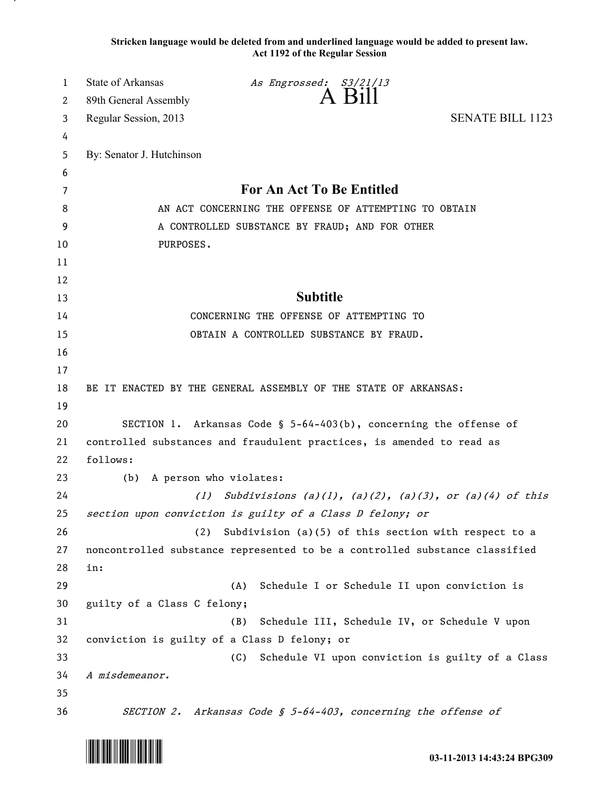**Stricken language would be deleted from and underlined language would be added to present law. Act 1192 of the Regular Session**

| 1  | <b>State of Arkansas</b>                                                    | As Engrossed: S3/21/13                                         |                                                  |
|----|-----------------------------------------------------------------------------|----------------------------------------------------------------|--------------------------------------------------|
| 2  | 89th General Assembly                                                       | A Bill                                                         |                                                  |
| 3  | Regular Session, 2013                                                       |                                                                | <b>SENATE BILL 1123</b>                          |
| 4  |                                                                             |                                                                |                                                  |
| 5  | By: Senator J. Hutchinson                                                   |                                                                |                                                  |
| 6  |                                                                             |                                                                |                                                  |
| 7  | For An Act To Be Entitled                                                   |                                                                |                                                  |
| 8  | AN ACT CONCERNING THE OFFENSE OF ATTEMPTING TO OBTAIN                       |                                                                |                                                  |
| 9  | A CONTROLLED SUBSTANCE BY FRAUD; AND FOR OTHER                              |                                                                |                                                  |
| 10 | PURPOSES.                                                                   |                                                                |                                                  |
| 11 |                                                                             |                                                                |                                                  |
| 12 |                                                                             |                                                                |                                                  |
| 13 |                                                                             | <b>Subtitle</b>                                                |                                                  |
| 14 |                                                                             | CONCERNING THE OFFENSE OF ATTEMPTING TO                        |                                                  |
| 15 |                                                                             | OBTAIN A CONTROLLED SUBSTANCE BY FRAUD.                        |                                                  |
| 16 |                                                                             |                                                                |                                                  |
| 17 |                                                                             |                                                                |                                                  |
| 18 | BE IT ENACTED BY THE GENERAL ASSEMBLY OF THE STATE OF ARKANSAS:             |                                                                |                                                  |
| 19 |                                                                             |                                                                |                                                  |
| 20 | SECTION 1. Arkansas Code § 5-64-403(b), concerning the offense of           |                                                                |                                                  |
| 21 | controlled substances and fraudulent practices, is amended to read as       |                                                                |                                                  |
| 22 | follows:                                                                    |                                                                |                                                  |
| 23 | A person who violates:<br>(b)                                               |                                                                |                                                  |
| 24 | Subdivisions $(a)(1)$ , $(a)(2)$ , $(a)(3)$ , or $(a)(4)$ of this<br>(1)    |                                                                |                                                  |
| 25 | section upon conviction is guilty of a Class D felony; or                   |                                                                |                                                  |
| 26 | (2)<br>Subdivision (a)(5) of this section with respect to a                 |                                                                |                                                  |
| 27 | noncontrolled substance represented to be a controlled substance classified |                                                                |                                                  |
| 28 | in:                                                                         |                                                                |                                                  |
| 29 |                                                                             | Schedule I or Schedule II upon conviction is<br>(A)            |                                                  |
| 30 | guilty of a Class C felony;                                                 |                                                                |                                                  |
| 31 |                                                                             | Schedule III, Schedule IV, or Schedule V upon<br>(B)           |                                                  |
| 32 | conviction is guilty of a Class D felony; or                                |                                                                |                                                  |
| 33 |                                                                             | (C)                                                            | Schedule VI upon conviction is guilty of a Class |
| 34 | A misdemeanor.                                                              |                                                                |                                                  |
| 35 |                                                                             |                                                                |                                                  |
| 36 |                                                                             | SECTION 2. Arkansas Code § 5-64-403, concerning the offense of |                                                  |